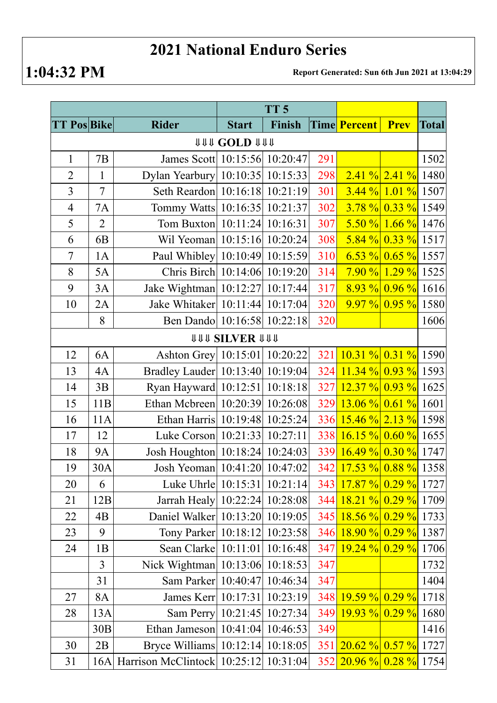## **2021 National Enduro Series**

**1:04:32 PM Report Generated: Sun 6th Jun 2021 at 13:04:29**

|                              |                |                                       | TT <sub>5</sub> |        |            |                         |                      |              |  |  |  |  |  |
|------------------------------|----------------|---------------------------------------|-----------------|--------|------------|-------------------------|----------------------|--------------|--|--|--|--|--|
| <b>TT Pos Bike</b>           |                | <b>Rider</b>                          | <b>Start</b>    | Finish |            | Time Percent            | <b>Prev</b>          | <b>Total</b> |  |  |  |  |  |
| <b>111 COLD 1111</b>         |                |                                       |                 |        |            |                         |                      |              |  |  |  |  |  |
| $\mathbf{1}$                 | 7B             | James Scott 10:15:56 10:20:47         |                 |        | 291        |                         |                      | 1502         |  |  |  |  |  |
| $\overline{2}$               | $\mathbf{1}$   | Dylan Yearbury 10:10:35 10:15:33      |                 |        | 298        |                         | $2.41 \%$ 2.41 %     | 1480         |  |  |  |  |  |
| 3                            | $\overline{7}$ | Seth Reardon 10:16:18 10:21:19        |                 |        | 301        |                         | $3.44\%$ 1.01 % 1507 |              |  |  |  |  |  |
| $\overline{4}$               | <b>7A</b>      | Tommy Watts 10:16:35 10:21:37         |                 |        | 302        |                         | $3.78\%$ 0.33 % 1549 |              |  |  |  |  |  |
| 5                            | $\overline{2}$ | Tom Buxton   10:11:24   10:16:31      |                 |        | 307        |                         | $5.50\%$ 1.66 % 1476 |              |  |  |  |  |  |
| 6                            | 6 <sub>B</sub> | Wil Yeoman 10:15:16 10:20:24          |                 |        | 308        |                         | $5.84\%$ 0.33 % 1517 |              |  |  |  |  |  |
| $\tau$                       | 1A             | Paul Whibley 10:10:49 10:15:59        |                 |        | 310        |                         | $6.53\%$ 0.65 % 1557 |              |  |  |  |  |  |
| 8                            | 5A             | Chris Birch 10:14:06 10:19:20         |                 |        | 314        |                         | $7.90\%$ 1.29 % 1525 |              |  |  |  |  |  |
| 9                            | 3A             | Jake Wightman   10:12:27   10:17:44   |                 |        | 317        |                         | $8.93\%$ 0.96 % 1616 |              |  |  |  |  |  |
| 10                           | 2A             | Jake Whitaker 10:11:44 10:17:04       |                 |        | 320        |                         | $9.97\%$ 0.95 % 1580 |              |  |  |  |  |  |
|                              | 8              | Ben Dando 10:16:58 10:22:18           |                 |        | 320        |                         |                      | 1606         |  |  |  |  |  |
| <b><i>UUU SILVER UUU</i></b> |                |                                       |                 |        |            |                         |                      |              |  |  |  |  |  |
| 12                           | 6A             | Ashton Grey 10:15:01 10:20:22         |                 |        | 321        | $10.31\%$ 0.31 % 1590   |                      |              |  |  |  |  |  |
| 13                           | 4A             | Bradley Lauder 10:13:40 10:19:04      |                 |        | 324        | $11.34\%$ 0.93 % 1593   |                      |              |  |  |  |  |  |
| 14                           | 3B             | Ryan Hayward 10:12:51 10:18:18        |                 |        | 327        | $12.37 \%$ 0.93 % 1625  |                      |              |  |  |  |  |  |
| 15                           | 11B            | Ethan Mcbreen 10:20:39 10:26:08       |                 |        | 329        | $13.06\%$ 0.61 % 1601   |                      |              |  |  |  |  |  |
| 16                           | 11A            | Ethan Harris 10:19:48 10:25:24        |                 |        | 336        | $15.46 \%$ 2.13 % 1598  |                      |              |  |  |  |  |  |
| 17                           | 12             | Luke Corson   10:21:33   10:27:11     |                 |        | <b>338</b> | $16.15 \%$ 0.60 % 1655  |                      |              |  |  |  |  |  |
| 18                           | <b>9A</b>      | Josh Houghton 10:18:24 10:24:03       |                 |        | <b>339</b> | $16.49\%$ 0.30 % 1747   |                      |              |  |  |  |  |  |
| 19                           | 30A            | Josh Yeoman   10:41:20   10:47:02     |                 |        |            | 342 17.53 % 0.88 % 1358 |                      |              |  |  |  |  |  |
| 20                           | 6              | Luke Uhrle   10:15:31   10:21:14      |                 |        |            | 343 17.87 % 0.29 % 1727 |                      |              |  |  |  |  |  |
| 21                           | 12B            | Jarrah Healy 10:22:24 10:28:08        |                 |        | 344        | $18.21\%$ 0.29 % 1709   |                      |              |  |  |  |  |  |
| 22                           | 4B             | Daniel Walker 10:13:20 10:19:05       |                 |        | 345        | $18.56\%$ 0.29 % 1733   |                      |              |  |  |  |  |  |
| 23                           | 9              | Tony Parker 10:18:12 10:23:58         |                 |        | 346        | $18.90\%$ 0.29 % 1387   |                      |              |  |  |  |  |  |
| 24                           | 1B             | Sean Clarke   10:11:01   10:16:48     |                 |        | 347        | $19.24 \%$ 0.29 % 1706  |                      |              |  |  |  |  |  |
|                              | 3              | Nick Wightman 10:13:06 10:18:53       |                 |        | 347        |                         |                      | 1732         |  |  |  |  |  |
|                              | 31             | Sam Parker 10:40:47 10:46:34          |                 |        | 347        |                         |                      | 1404         |  |  |  |  |  |
| 27                           | 8A             | James Kerr   10:17:31   10:23:19      |                 |        | 348        | $19.59 \%$ 0.29 % 1718  |                      |              |  |  |  |  |  |
| 28                           | 13A            | Sam Perry 10:21:45 10:27:34           |                 |        | 349        | $19.93 \%$ 0.29 % 1680  |                      |              |  |  |  |  |  |
|                              | 30B            | Ethan Jameson 10:41:04 10:46:53       |                 |        | 349        |                         |                      | 1416         |  |  |  |  |  |
| 30                           | 2B             | Bryce Williams 10:12:14 10:18:05      |                 |        |            | 351 20.62 % 0.57 % 1727 |                      |              |  |  |  |  |  |
| 31                           | 16A            | Harrison McClintock 10:25:12 10:31:04 |                 |        |            | 352 20.96 % 0.28 % 1754 |                      |              |  |  |  |  |  |